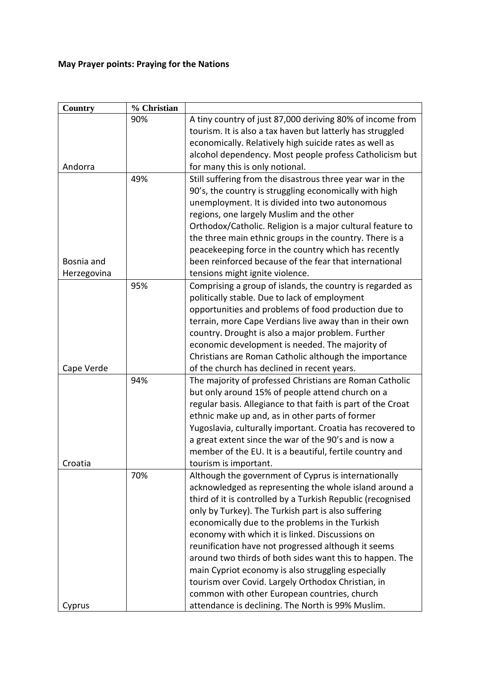## **May Prayer points: Praying for the Nations**

| Country     | % Christian |                                                              |
|-------------|-------------|--------------------------------------------------------------|
|             | 90%         | A tiny country of just 87,000 deriving 80% of income from    |
|             |             | tourism. It is also a tax haven but latterly has struggled   |
|             |             | economically. Relatively high suicide rates as well as       |
|             |             | alcohol dependency. Most people profess Catholicism but      |
| Andorra     |             | for many this is only notional.                              |
|             | 49%         | Still suffering from the disastrous three year war in the    |
|             |             | 90's, the country is struggling economically with high       |
|             |             | unemployment. It is divided into two autonomous              |
|             |             | regions, one largely Muslim and the other                    |
|             |             | Orthodox/Catholic. Religion is a major cultural feature to   |
|             |             | the three main ethnic groups in the country. There is a      |
|             |             | peacekeeping force in the country which has recently         |
| Bosnia and  |             | been reinforced because of the fear that international       |
| Herzegovina |             | tensions might ignite violence.                              |
|             | 95%         | Comprising a group of islands, the country is regarded as    |
|             |             | politically stable. Due to lack of employment                |
|             |             | opportunities and problems of food production due to         |
|             |             | terrain, more Cape Verdians live away than in their own      |
|             |             | country. Drought is also a major problem. Further            |
|             |             | economic development is needed. The majority of              |
|             |             | Christians are Roman Catholic although the importance        |
| Cape Verde  |             | of the church has declined in recent years.                  |
|             | 94%         | The majority of professed Christians are Roman Catholic      |
|             |             | but only around 15% of people attend church on a             |
|             |             | regular basis. Allegiance to that faith is part of the Croat |
|             |             | ethnic make up and, as in other parts of former              |
|             |             | Yugoslavia, culturally important. Croatia has recovered to   |
|             |             | a great extent since the war of the 90's and is now a        |
|             |             | member of the EU. It is a beautiful, fertile country and     |
| Croatia     |             | tourism is important.                                        |
|             | 70%         | Although the government of Cyprus is internationally         |
|             |             | acknowledged as representing the whole island around a       |
|             |             | third of it is controlled by a Turkish Republic (recognised  |
|             |             | only by Turkey). The Turkish part is also suffering          |
|             |             | economically due to the problems in the Turkish              |
|             |             | economy with which it is linked. Discussions on              |
|             |             | reunification have not progressed although it seems          |
|             |             | around two thirds of both sides want this to happen. The     |
|             |             | main Cypriot economy is also struggling especially           |
|             |             | tourism over Covid. Largely Orthodox Christian, in           |
|             |             | common with other European countries, church                 |
| Cyprus      |             | attendance is declining. The North is 99% Muslim.            |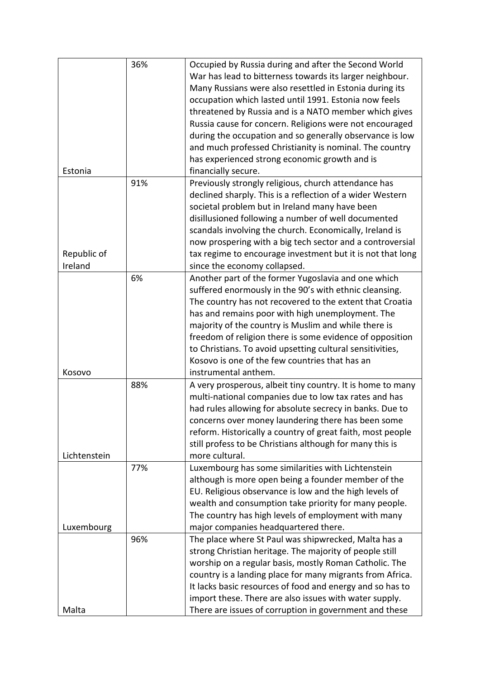|              | 36% | Occupied by Russia during and after the Second World       |
|--------------|-----|------------------------------------------------------------|
|              |     | War has lead to bitterness towards its larger neighbour.   |
|              |     | Many Russians were also resettled in Estonia during its    |
|              |     | occupation which lasted until 1991. Estonia now feels      |
|              |     |                                                            |
|              |     | threatened by Russia and is a NATO member which gives      |
|              |     | Russia cause for concern. Religions were not encouraged    |
|              |     | during the occupation and so generally observance is low   |
|              |     | and much professed Christianity is nominal. The country    |
|              |     | has experienced strong economic growth and is              |
| Estonia      |     | financially secure.                                        |
|              | 91% | Previously strongly religious, church attendance has       |
|              |     | declined sharply. This is a reflection of a wider Western  |
|              |     | societal problem but in Ireland many have been             |
|              |     | disillusioned following a number of well documented        |
|              |     | scandals involving the church. Economically, Ireland is    |
|              |     | now prospering with a big tech sector and a controversial  |
| Republic of  |     | tax regime to encourage investment but it is not that long |
| Ireland      |     | since the economy collapsed.                               |
|              | 6%  |                                                            |
|              |     | Another part of the former Yugoslavia and one which        |
|              |     | suffered enormously in the 90's with ethnic cleansing.     |
|              |     | The country has not recovered to the extent that Croatia   |
|              |     | has and remains poor with high unemployment. The           |
|              |     | majority of the country is Muslim and while there is       |
|              |     | freedom of religion there is some evidence of opposition   |
|              |     | to Christians. To avoid upsetting cultural sensitivities,  |
|              |     | Kosovo is one of the few countries that has an             |
| Kosovo       |     | instrumental anthem.                                       |
|              | 88% | A very prosperous, albeit tiny country. It is home to many |
|              |     | multi-national companies due to low tax rates and has      |
|              |     | had rules allowing for absolute secrecy in banks. Due to   |
|              |     | concerns over money laundering there has been some         |
|              |     |                                                            |
|              |     | reform. Historically a country of great faith, most people |
|              |     | still profess to be Christians although for many this is   |
| Lichtenstein |     | more cultural.                                             |
|              | 77% | Luxembourg has some similarities with Lichtenstein         |
|              |     | although is more open being a founder member of the        |
|              |     | EU. Religious observance is low and the high levels of     |
|              |     | wealth and consumption take priority for many people.      |
|              |     | The country has high levels of employment with many        |
| Luxembourg   |     | major companies headquartered there.                       |
|              | 96% | The place where St Paul was shipwrecked, Malta has a       |
|              |     | strong Christian heritage. The majority of people still    |
|              |     | worship on a regular basis, mostly Roman Catholic. The     |
|              |     | country is a landing place for many migrants from Africa.  |
|              |     |                                                            |
|              |     | It lacks basic resources of food and energy and so has to  |
|              |     | import these. There are also issues with water supply.     |
| Malta        |     | There are issues of corruption in government and these     |